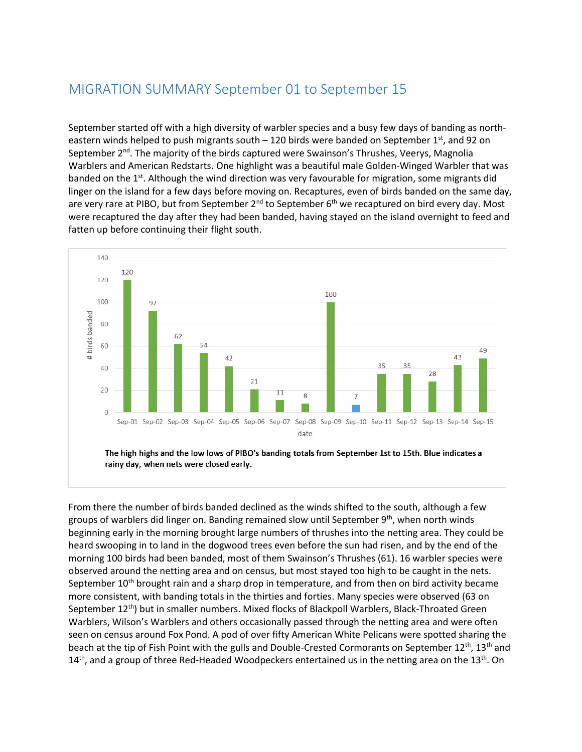## MIGRATION SUMMARY September 01 to September 15

September started off with a high diversity of warbler species and a busy few days of banding as northeastern winds helped to push migrants south  $-120$  birds were banded on September 1st, and 92 on September 2<sup>nd</sup>. The majority of the birds captured were Swainson's Thrushes, Veerys, Magnolia Warblers and American Redstarts. One highlight was a beautiful male Golden-Winged Warbler that was banded on the 1<sup>st</sup>. Although the wind direction was very favourable for migration, some migrants did linger on the island for a few days before moving on. Recaptures, even of birds banded on the same day, are very rare at PIBO, but from September 2<sup>nd</sup> to September 6<sup>th</sup> we recaptured on bird every day. Most were recaptured the day after they had been banded, having stayed on the island overnight to feed and fatten up before continuing their flight south.



rainy day, when nets were closed early.

From there the number of birds banded declined as the winds shifted to the south, although a few groups of warblers did linger on. Banding remained slow until September 9<sup>th</sup>, when north winds beginning early in the morning brought large numbers of thrushes into the netting area. They could be heard swooping in to land in the dogwood trees even before the sun had risen, and by the end of the morning 100 birds had been banded, most of them Swainson's Thrushes (61). 16 warbler species were observed around the netting area and on census, but most stayed too high to be caught in the nets. September  $10<sup>th</sup>$  brought rain and a sharp drop in temperature, and from then on bird activity became more consistent, with banding totals in the thirties and forties. Many species were observed (63 on September 12<sup>th</sup>) but in smaller numbers. Mixed flocks of Blackpoll Warblers, Black-Throated Green Warblers, Wilson's Warblers and others occasionally passed through the netting area and were often seen on census around Fox Pond. A pod of over fifty American White Pelicans were spotted sharing the beach at the tip of Fish Point with the gulls and Double-Crested Cormorants on September 12<sup>th</sup>, 13<sup>th</sup> and  $14<sup>th</sup>$ , and a group of three Red-Headed Woodpeckers entertained us in the netting area on the 13<sup>th</sup>. On